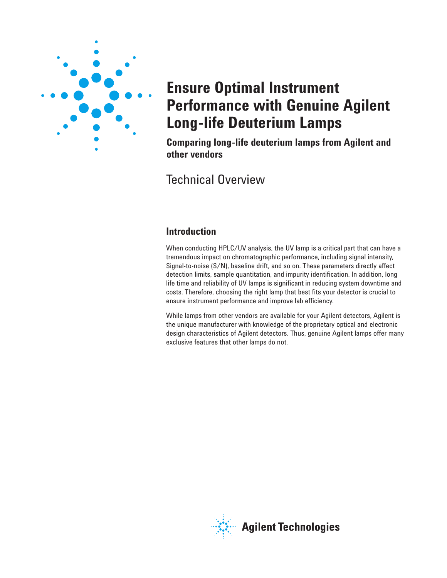

# **Ensure Optimal Instrument Performance with Genuine Agilent Long-life Deuterium Lamps**

**Comparing long-life deuterium lamps from Agilent and other vendors**

# Technical Overview

# **Introduction**

When conducting HPLC/UV analysis, the UV lamp is a critical part that can have a tremendous impact on chromatographic performance, including signal intensity, Signal-to-noise (S/N), baseline drift, and so on. These parameters directly affect detection limits, sample quantitation, and impurity identification. In addition, long life time and reliability of UV lamps is significant in reducing system downtime and costs. Therefore, choosing the right lamp that best fits your detector is crucial to ensure instrument performance and improve lab efficiency.

While lamps from other vendors are available for your Agilent detectors, Agilent is the unique manufacturer with knowledge of the proprietary optical and electronic design characteristics of Agilent detectors. Thus, genuine Agilent lamps offer many exclusive features that other lamps do not.

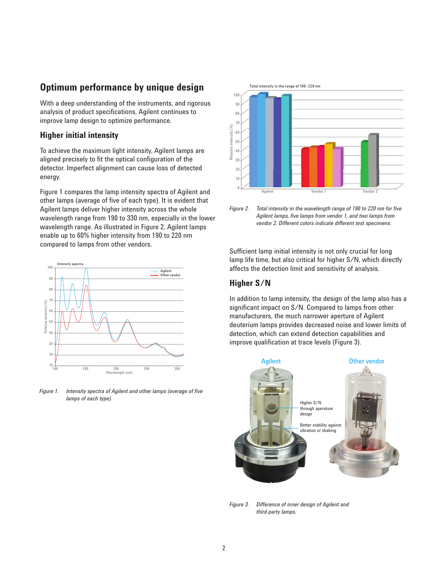### **Optimum performance by unique design**

With a deep understanding of the instruments, and rigorous analysis of product specifications, Agilent continues to improve lamp design to optimize performance.

#### **Higher initial intensity**

To achieve the maximum light intensity, Agilent lamps are aligned precisely to fit the optical configuration of the detector. Imperfect alignment can cause loss of detected energy.

Figure 1 compares the lamp intensity spectra of Agilent and other lamps (average of five of each type). It is evident that Agilent lamps deliver higher intensity across the whole wavelength range from 190 to 330 nm, especially in the lower wavelength range. As illustrated in Figure 2, Agilent lamps enable up to 60% higher intensity from 190 to 220 nm compared to lamps from other vendors.



*Figure 1. Intensity spectra of Agilent and other lamps (average of five lamps of each type).*





Sufficient lamp initial intensity is not only crucial for long lamp life time, but also critical for higher S/N, which directly affects the detection limit and sensitivity of analysis.

#### **Higher S/N**

In addition to lamp intensity, the design of the lamp also has a significant impact on S/N. Compared to lamps from other manufacturers, the much narrower aperture of Agilent deuterium lamps provides decreased noise and lower limits of detection, which can extend detection capabilities and improve qualification at trace levels (Figure 3).



*Figure 3. Difference of inner design of Agilent and third-party lamps.*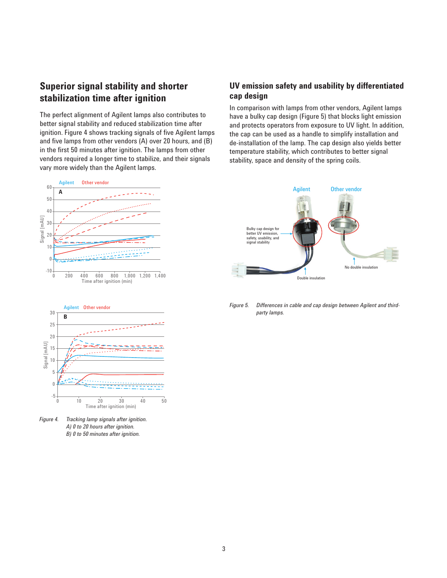# **Superior signal stability and shorter stabilization time after ignition**

The perfect alignment of Agilent lamps also contributes to better signal stability and reduced stabilization time after ignition. Figure 4 shows tracking signals of five Agilent lamps and five lamps from other vendors (A) over 20 hours, and (B) in the first 50 minutes after ignition. The lamps from other vendors required a longer time to stabilize, and their signals vary more widely than the Agilent lamps.





*Figure 4. Tracking lamp signals after ignition. A) 0 to 20 hours after ignition. B) 0 to 50 minutes after ignition.*

#### **UV emission safety and usability by differentiated cap design**

In comparison with lamps from other vendors, Agilent lamps have a bulky cap design (Figure 5) that blocks light emission and protects operators from exposure to UV light. In addition, the cap can be used as a handle to simplify installation and de-installation of the lamp. The cap design also yields better temperature stability, which contributes to better signal stability, space and density of the spring coils.



*Figure 5. Differences in cable and cap design between Agilent and thirdparty lamps.*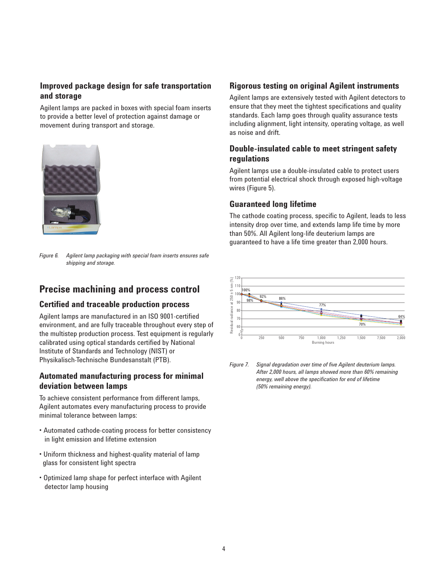### **Improved package design for safe transportation and storage**

Agilent lamps are packed in boxes with special foam inserts to provide a better level of protection against damage or movement during transport and storage.



*Figure 6. Agilent lamp packaging with special foam inserts ensures safe shipping and storage.*

# **Precise machining and process control**

#### **Certified and traceable production process**

Agilent lamps are manufactured in an ISO 9001-certified environment, and are fully traceable throughout every step of the multistep production process. Test equipment is regularly calibrated using optical standards certified by National Institute of Standards and Technology (NIST) or Physikalisch-Technische Bundesanstalt (PTB).

#### **Automated manufacturing process for minimal deviation between lamps**

To achieve consistent performance from different lamps, Agilent automates every manufacturing process to provide minimal tolerance between lamps:

- Automated cathode-coating process for better consistency in light emission and lifetime extension
- Uniform thickness and highest-quality material of lamp glass for consistent light spectra
- Optimized lamp shape for perfect interface with Agilent detector lamp housing

#### **Rigorous testing on original Agilent instruments**

Agilent lamps are extensively tested with Agilent detectors to ensure that they meet the tightest specifications and quality standards. Each lamp goes through quality assurance tests including alignment, light intensity, operating voltage, as well as noise and drift.

#### **Double-insulated cable to meet stringent safety regulations**

Agilent lamps use a double-insulated cable to protect users from potential electrical shock through exposed high-voltage wires (Figure 5).

#### **Guaranteed long lifetime**

The cathode coating process, specific to Agilent, leads to less intensity drop over time, and extends lamp life time by more than 50%. All Agilent long-life deuterium lamps are guaranteed to have a life time greater than 2,000 hours.



*Figure 7. Signal degradation over time of five Agilent deuterium lamps. After 2,000 hours, all lamps showed more than 60% remaining energy, well above the specification for end of lifetime (50% remaining energy).*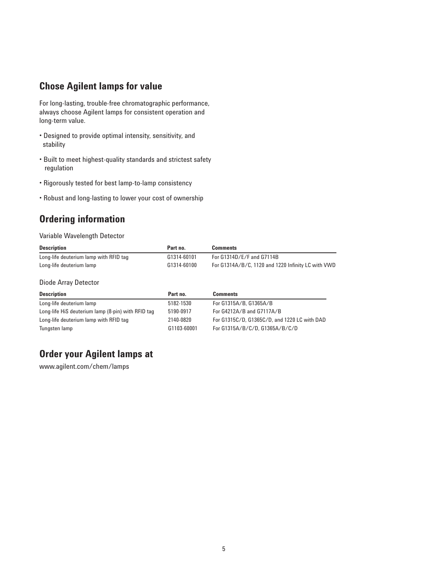## **Chose Agilent lamps for value**

For long-lasting, trouble-free chromatographic performance, always choose Agilent lamps for consistent operation and long-term value.

- Designed to provide optimal intensity, sensitivity, and stability
- Built to meet highest-quality standards and strictest safety regulation
- Rigorously tested for best lamp-to-lamp consistency
- Robust and long-lasting to lower your cost of ownership

# **Ordering information**

#### Variable Wavelength Detector

| <b>Description</b>                     | Part no.    | <b>Comments</b>                                    |
|----------------------------------------|-------------|----------------------------------------------------|
| Long-life deuterium lamp with RFID tag | G1314-60101 | For $G1314D/E/F$ and $G7114B$                      |
| Long-life deuterium lamp               | G1314-60100 | For G1314A/B/C, 1120 and 1220 Infinity LC with VWD |

Diode Array Detector

| <b>Description</b>                                 | Part no.    | <b>Comments</b>                              |
|----------------------------------------------------|-------------|----------------------------------------------|
| Long-life deuterium lamp                           | 5182-1530   | For G1315A/B, G1365A/B                       |
| Long-life HiS deuterium lamp (8-pin) with RFID tag | 5190-0917   | For $G4212A/B$ and $G7117A/B$                |
| Long-life deuterium lamp with RFID tag             | 2140-0820   | For G1315C/D, G1365C/D, and 1220 LC with DAD |
| Tungsten lamp                                      | G1103-60001 | For G1315A/B/C/D. G1365A/B/C/D               |

# **Order your Agilent lamps at**

www.agilent.com/chem/lamps